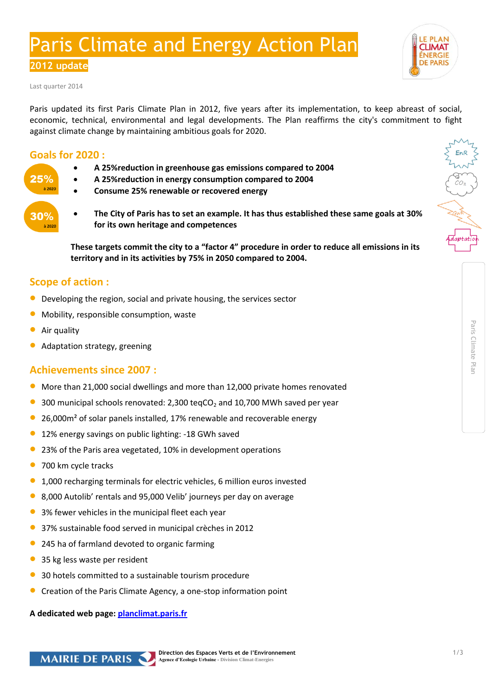# Paris Climate and Energy Action Plan

**2012 update** 

Last quarter 2014

Paris updated its first Paris Climate Plan in 2012, five years after its implementation, to keep abreast of social, economic, technical, environmental and legal developments. The Plan reaffirms the city's commitment to fight against climate change by maintaining ambitious goals for 2020.

## **Goals for 2020 :**

- **A 25%reduction in greenhouse gas emissions compared to 2004**
- **A 25%reduction in energy consumption compared to 2004**
- **Consume 25% renewable or recovered energy**
- **The City of Paris has to set an example. It has thus established these same goals at 30% for its own heritage and competences**

**These targets commit the city to a "factor 4" procedure in order to reduce all emissions in its territory and in its activities by 75% in 2050 compared to 2004.** 

# **Scope of action :**

- **O** Developing the region, social and private housing, the services sector
- Mobility, responsible consumption, waste
- Air quality

30%  $\frac{1}{2}$ 2020

Adaptation strategy, greening

## **Achievements since 2007 :**

- More than 21,000 social dwellings and more than 12,000 private homes renovated
- 300 municipal schools renovated:  $2.300$  tegCO<sub>2</sub> and  $10.700$  MWh saved per year
- 26,000m<sup>2</sup> of solar panels installed, 17% renewable and recoverable energy
- <sup>1</sup> 12% energy savings on public lighting: -18 GWh saved
- 23% of the Paris area vegetated, 10% in development operations
- 700 km cycle tracks
- 1,000 recharging terminals for electric vehicles, 6 million euros invested
- 8,000 Autolib' rentals and 95,000 Velib' journeys per day on average
- 3% fewer vehicles in the municipal fleet each year
- 37% sustainable food served in municipal crèches in 2012
- 245 ha of farmland devoted to organic farming
- 35 kg less waste per resident
- 30 hotels committed to a sustainable tourism procedure
- Creation of the Paris Climate Agency, a one-stop information point

**A dedicated web page[: planclimat.paris.fr](http://www.paris.fr/pratique/environnement/energie-plan-climat/p8411)**





Climate Plan

*ENERGIE*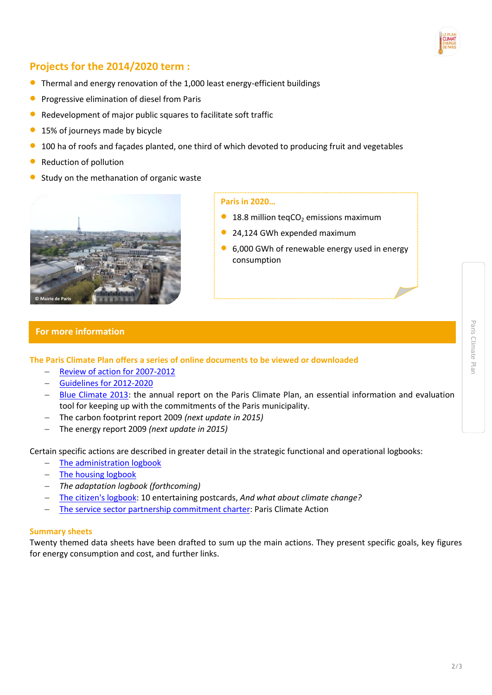

# **Projects for the 2014/2020 term :**

- Thermal and energy renovation of the 1,000 least energy-efficient buildings
- Progressive elimination of diesel from Paris
- Redevelopment of major public squares to facilitate soft traffic
- <sup>1</sup> 15% of journeys made by bicycle
- 100 ha of roofs and façades planted, one third of which devoted to producing fruit and vegetables
- Reduction of pollution
- Study on the methanation of organic waste



#### **Paris in 2020…**

- 18.8 million teqCO<sub>2</sub> emissions maximum
- 24,124 GWh expended maximum
- 6,000 GWh of renewable energy used in energy consumption

## **For more information**

**The Paris Climate Plan offers a series of online documents to be viewed or downloaded**

- [Review of action](http://www.paris.fr/viewmultimediadocument?multimediadocument-id=126603) for 2007-2012
- [Guidelines for 2012-2020](http://www.paris.fr/viewmultimediadocument?multimediadocument-id=142826)
- [Blue Climate 2013:](http://www.paris.fr/viewmultimediadocument?multimediadocument-id=140633) the annual report on the Paris Climate Plan, an essential information and evaluation tool for keeping up with the commitments of the Paris municipality.
- The carbon footprint report 2009 *(next update in 2015)*
- The energy report 2009 *(next update in 2015)*

Certain specific actions are described in greater detail in the strategic functional and operational logbooks:

- [The administration logbook](http://www.paris.fr/viewmultimediadocument?multimediadocument-id=126621)
- [The housing logbook](http://www.paris.fr/viewmultimediadocument?multimediadocument-id=134539)
- *The adaptation logbook (forthcoming)*
- [The citizen's logbook:](http://www.paris.fr/pratique/environnement/energie-plan-climat/10-cartes-postales-ludiques-a-decouvrir-duplique/rub_8411_stand_135008_port_19606) 10 entertaining postcards, *And what about climate change?*
- The service [sector partnership commitment charter:](http://parisactionclimat.paris.fr/) Paris Climate Action

### **Summary sheets**

Twenty themed data sheets have been drafted to sum up the main actions. They present specific goals, key figures for energy consumption and cost, and further links.